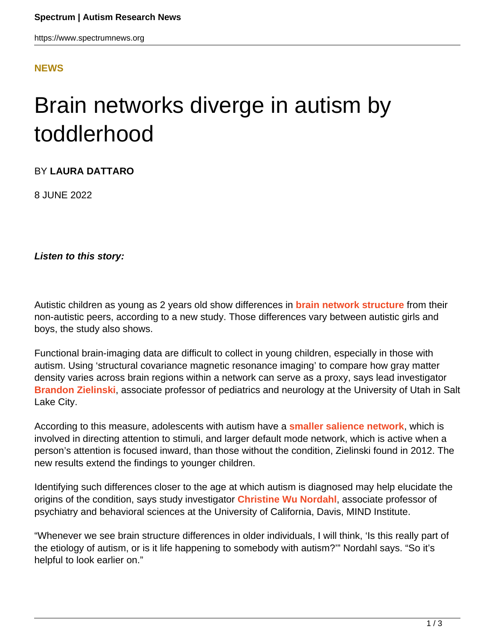## **[NEWS](HTTPS://WWW.SPECTRUMNEWS.ORG/NEWS/)**

## Brain networks diverge in autism by toddlerhood

BY **LAURA DATTARO**

8 JUNE 2022

**Listen to this story:**

Autistic children as young as 2 years old show differences in **[brain network structure](https://doi.org/10.1016/j.neuroimage.2022.119252)** from their non-autistic peers, according to a new study. Those differences vary between autistic girls and boys, the study also shows.

Functional brain-imaging data are difficult to collect in young children, especially in those with autism. Using 'structural covariance magnetic resonance imaging' to compare how gray matter density varies across brain regions within a network can serve as a proxy, says lead investigator **[Brandon Zielinski](https://healthcare.utah.edu/fad/mddetail.php?physicianID=u0464743&name=brandon-a-zielinski)**, associate professor of pediatrics and neurology at the University of Utah in Salt Lake City.

According to this measure, adolescents with autism have a **[smaller salience network](https://doi.org/10.1371/journal.pone.0049172)**, which is involved in directing attention to stimuli, and larger default mode network, which is active when a person's attention is focused inward, than those without the condition, Zielinski found in 2012. The new results extend the findings to younger children.

Identifying such differences closer to the age at which autism is diagnosed may help elucidate the origins of the condition, says study investigator **[Christine Wu Nordahl](https://health.ucdavis.edu/team/psychiatry/1416/christine-nordahl-/)**, associate professor of psychiatry and behavioral sciences at the University of California, Davis, MIND Institute.

"Whenever we see brain structure differences in older individuals, I will think, 'Is this really part of the etiology of autism, or is it life happening to somebody with autism?'" Nordahl says. "So it's helpful to look earlier on."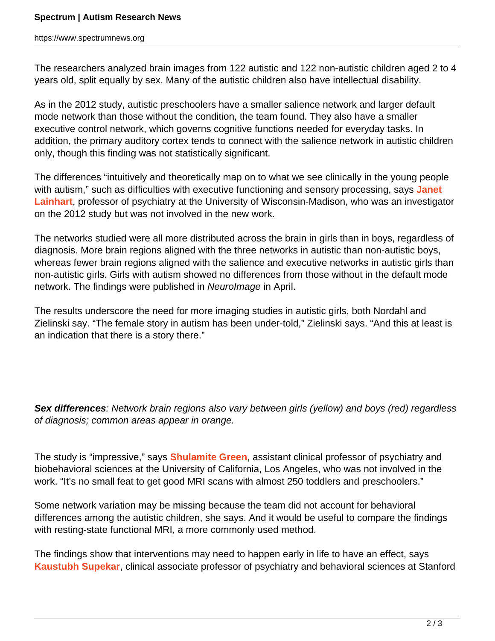The researchers analyzed brain images from 122 autistic and 122 non-autistic children aged 2 to 4 years old, split equally by sex. Many of the autistic children also have intellectual disability.

As in the 2012 study, autistic preschoolers have a smaller salience network and larger default mode network than those without the condition, the team found. They also have a smaller executive control network, which governs cognitive functions needed for everyday tasks. In addition, the primary auditory cortex tends to connect with the salience network in autistic children only, though this finding was not statistically significant.

The differences "intuitively and theoretically map on to what we see clinically in the young people with autism," such as difficulties with executive functioning and sensory processing, says **[Janet](https://www.waisman.wisc.edu/staff/lainhart-janet/) [Lainhart](https://www.waisman.wisc.edu/staff/lainhart-janet/)**, professor of psychiatry at the University of Wisconsin-Madison, who was an investigator on the 2012 study but was not involved in the new work.

The networks studied were all more distributed across the brain in girls than in boys, regardless of diagnosis. More brain regions aligned with the three networks in autistic than non-autistic boys, whereas fewer brain regions aligned with the salience and executive networks in autistic girls than non-autistic girls. Girls with autism showed no differences from those without in the default mode network. The findings were published in Neurolmage in April.

The results underscore the need for more imaging studies in autistic girls, both Nordahl and Zielinski say. "The female story in autism has been under-told," Zielinski says. "And this at least is an indication that there is a story there."

**Sex differences**: Network brain regions also vary between girls (yellow) and boys (red) regardless of diagnosis; common areas appear in orange.

The study is "impressive," says **[Shulamite Green](http://www.bmap.ucla.edu/about/peopledetails/shula_green/)**, assistant clinical professor of psychiatry and biobehavioral sciences at the University of California, Los Angeles, who was not involved in the work. "It's no small feat to get good MRI scans with almost 250 toddlers and preschoolers."

Some network variation may be missing because the team did not account for behavioral differences among the autistic children, she says. And it would be useful to compare the findings with resting-state functional MRI, a more commonly used method.

The findings show that interventions may need to happen early in life to have an effect, says **[Kaustubh Supekar](https://profiles.stanford.edu/kaustubh-supekar)**, clinical associate professor of psychiatry and behavioral sciences at Stanford